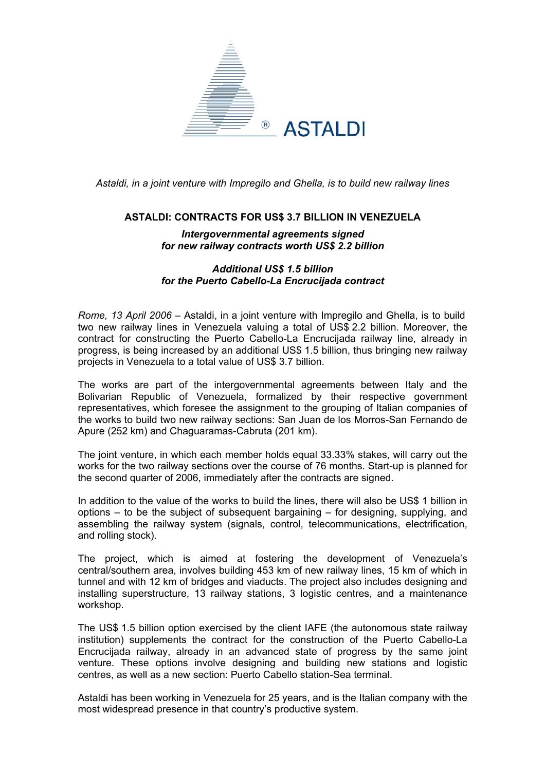

*Astaldi, in a joint venture with Impregilo and Ghella, is to build new railway lines* 

## **ASTALDI: CONTRACTS FOR US\$ 3.7 BILLION IN VENEZUELA**

## *Intergovernmental agreements signed for new railway contracts worth US\$ 2.2 billion*

## *Additional US\$ 1.5 billion for the Puerto Cabello-La Encrucijada contract*

*Rome, 13 April 2006* – Astaldi, in a joint venture with Impregilo and Ghella, is to build two new railway lines in Venezuela valuing a total of US\$ 2.2 billion. Moreover, the contract for constructing the Puerto Cabello-La Encrucijada railway line, already in progress, is being increased by an additional US\$ 1.5 billion, thus bringing new railway projects in Venezuela to a total value of US\$ 3.7 billion.

The works are part of the intergovernmental agreements between Italy and the Bolivarian Republic of Venezuela, formalized by their respective government representatives, which foresee the assignment to the grouping of Italian companies of the works to build two new railway sections: San Juan de los Morros-San Fernando de Apure (252 km) and Chaguaramas-Cabruta (201 km).

The joint venture, in which each member holds equal 33.33% stakes, will carry out the works for the two railway sections over the course of 76 months. Start-up is planned for the second quarter of 2006, immediately after the contracts are signed.

In addition to the value of the works to build the lines, there will also be US\$ 1 billion in options – to be the subject of subsequent bargaining – for designing, supplying, and assembling the railway system (signals, control, telecommunications, electrification, and rolling stock).

The project, which is aimed at fostering the development of Venezuela's central/southern area, involves building 453 km of new railway lines, 15 km of which in tunnel and with 12 km of bridges and viaducts. The project also includes designing and installing superstructure, 13 railway stations, 3 logistic centres, and a maintenance workshop.

The US\$ 1.5 billion option exercised by the client IAFE (the autonomous state railway institution) supplements the contract for the construction of the Puerto Cabello-La Encrucijada railway, already in an advanced state of progress by the same joint venture. These options involve designing and building new stations and logistic centres, as well as a new section: Puerto Cabello station-Sea terminal.

Astaldi has been working in Venezuela for 25 years, and is the Italian company with the most widespread presence in that country's productive system.